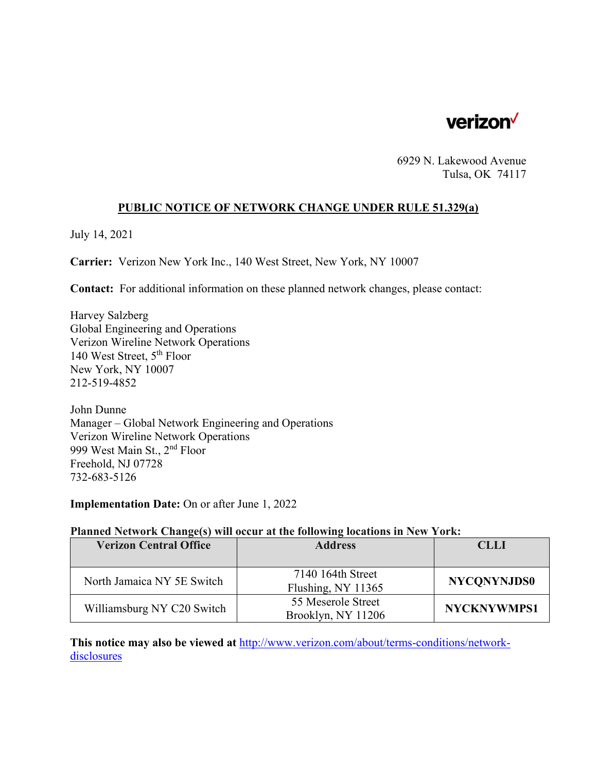

6929 N. Lakewood Avenue Tulsa, OK 74117

### **PUBLIC NOTICE OF NETWORK CHANGE UNDER RULE 51.329(a)**

July 14, 2021

**Carrier:** Verizon New York Inc., 140 West Street, New York, NY 10007

**Contact:** For additional information on these planned network changes, please contact:

Harvey Salzberg Global Engineering and Operations Verizon Wireline Network Operations 140 West Street, 5th Floor New York, NY 10007 212-519-4852

John Dunne Manager – Global Network Engineering and Operations Verizon Wireline Network Operations 999 West Main St., 2nd Floor Freehold, NJ 07728 732-683-5126

**Implementation Date:** On or after June 1, 2022

### **Planned Network Change(s) will occur at the following locations in New York:**

| <b>Verizon Central Office</b> | <b>Address</b>                           | <b>CLLI</b>        |
|-------------------------------|------------------------------------------|--------------------|
|                               |                                          |                    |
| North Jamaica NY 5E Switch    | 7140 164th Street<br>Flushing, NY 11365  | <b>NYCONYNJDS0</b> |
| Williamsburg NY C20 Switch    | 55 Meserole Street<br>Brooklyn, NY 11206 | <b>NYCKNYWMPS1</b> |

**This notice may also be viewed at** http://www.verizon.com/about/terms-conditions/networkdisclosures